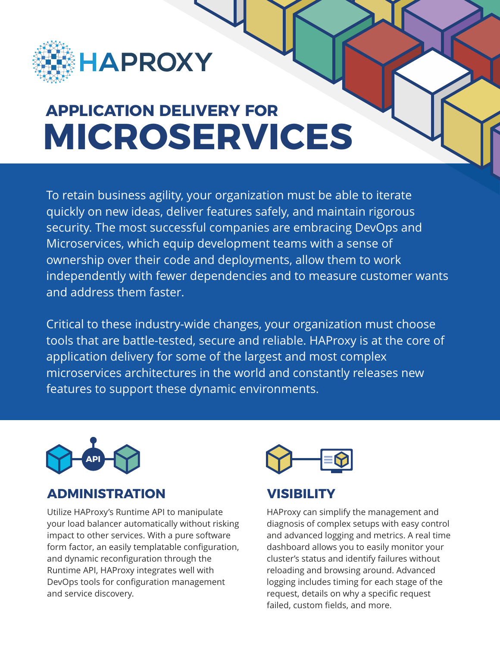

# **APPLICATION DELIVERY FOR MICROSERVICES**

To retain business agility, your organization must be able to iterate quickly on new ideas, deliver features safely, and maintain rigorous security. The most successful companies are embracing DevOps and Microservices, which equip development teams with a sense of ownership over their code and deployments, allow them to work independently with fewer dependencies and to measure customer wants and address them faster.

Critical to these industry-wide changes, your organization must choose tools that are battle-tested, secure and reliable. HAProxy is at the core of application delivery for some of the largest and most complex microservices architectures in the world and constantly releases new features to support these dynamic environments.



### **ADMINISTRATION**

Utilize HAProxy's Runtime API to manipulate your load balancer automatically without risking impact to other services. With a pure software form factor, an easily templatable configuration, and dynamic reconfiguration through the Runtime API, HAProxy integrates well with DevOps tools for configuration management and service discovery.



### **VISIBILITY**

HAProxy can simplify the management and diagnosis of complex setups with easy control and advanced logging and metrics. A real time dashboard allows you to easily monitor your cluster's status and identify failures without reloading and browsing around. Advanced logging includes timing for each stage of the request, details on why a specific request failed, custom fields, and more.